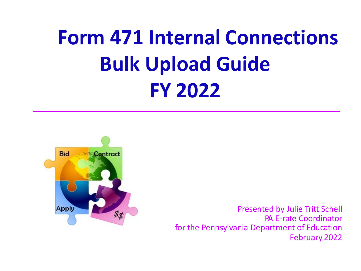## **Form 471 Internal Connections Bulk Upload Guide FY 2022**



Presented by Julie Tritt Schell PA E-rate Coordinator for the Pennsylvania Department of Education February 2022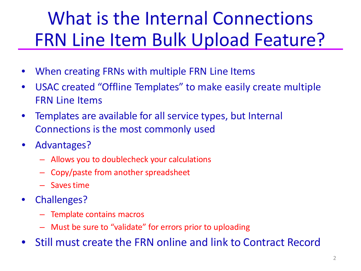### What is the Internal Connections FRN Line Item Bulk Upload Feature?

- When creating FRNs with multiple FRN Line Items
- USAC created "Offline Templates" to make easily create multiple FRN Line Items
- Templates are available for all service types, but Internal Connections is the most commonly used
- Advantages?
	- Allows you to doublecheck your calculations
	- Copy/paste from another spreadsheet
	- Savestime
- Challenges?
	- Template contains macros
	- Must be sure to "validate" for errors prior to uploading
- Still must create the FRN online and link to Contract Record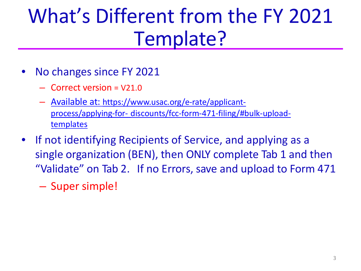### What's Different from the FY 2021 Template?

- No changes since FY 2021
	- Correct version = V21.0
	- Available at: https://www.usac.org/e-rate/applicantprocess/applying-for- [discounts/fcc-form-471-filing/#bulk-upload](https://www.usac.org/e-rate/applicant-process/applying-for-discounts/fcc-form-471-filing/#bulk-upload-templates)templates
- If not identifying Recipients of Service, and applying as a single organization (BEN), then ONLY complete Tab 1 and then "Validate" on Tab 2. If no Errors, save and upload to Form 471
	- Super simple!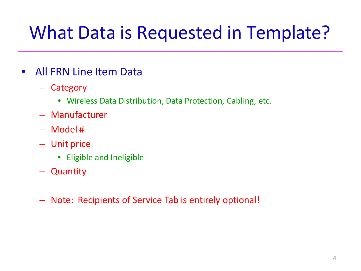### What Data is Requested in Template?

- All FRN Line Item Data
	- Category
		- Wireless Data Distribution, Data Protection, Cabling, etc.
	- Manufacturer
	- Model #
	- Unit price
		- Eligible and Ineligible
	- Quantity
	- Note: Recipients of Service Tab is entirely optional!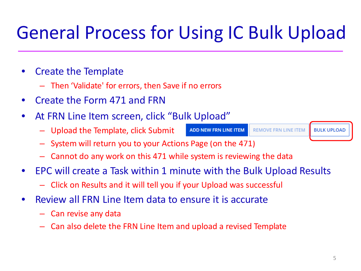### General Process for Using IC Bulk Upload

### • Create the Template

- Then 'Validate' for errors, then Save if no errors
- Create the Form 471 and FRN
- At FRN Line Item screen, click "Bulk Upload"
	- Upload the Template, click Submit

ADD NEW FRN LINE ITEM

**REMOVE FRN LINE ITEM** 

**BULK UPLOAD** 

- System will return you to your Actions Page (on the 471)
- Cannot do any work on this 471 while system is reviewing the data
- EPC will create a Task within 1 minute with the Bulk Upload Results
	- Click on Results and it will tell you if your Upload was successful
- Review all FRN Line Item data to ensure it is accurate
	- Can revise any data
	- Can also delete the FRN Line Item and upload a revised Template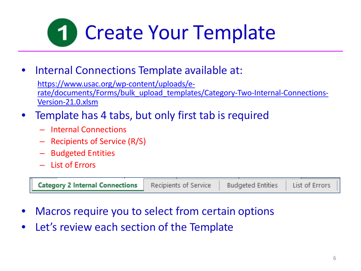

• Internal Connections Template available at:

https://www.usac.org/wp-content/uploads/e[rate/documents/Forms/bulk\\_upload\\_templates/Category-Two-Internal-Connections-](https://www.usac.org/wp-content/uploads/e-rate/documents/Forms/bulk_upload_templates/Category-Two-Internal-Connections-Version-21.0.xlsm)Version-21.0.xlsm

- Template has 4 tabs, but only first tab is required
	- Internal Connections
	- Recipients of Service (R/S)
	- Budgeted Entities
	- List of Errors

| <b>Category 2 Internal Connections</b> | Recipients of Service | <b>Budgeted Entities</b> | List of Errors |  |
|----------------------------------------|-----------------------|--------------------------|----------------|--|
|----------------------------------------|-----------------------|--------------------------|----------------|--|

- Macros require you to select from certain options
- Let's review each section of the Template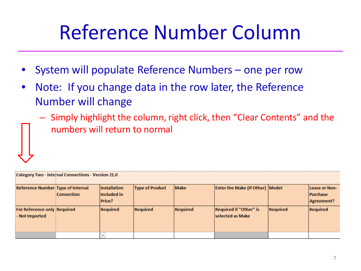### Reference Number Column

- System will populate Reference Numbers one per row
- Note: If you change data in the row later, the Reference Number will change
	- Simply highlight the column, right click, then "Clear Contents" and the numbers will return to normal

| <b>Category Two - Internal Connections - Version 21.0</b> |                   |                                              |                        |                 |                                                   |                 |                                                |
|-----------------------------------------------------------|-------------------|----------------------------------------------|------------------------|-----------------|---------------------------------------------------|-----------------|------------------------------------------------|
| <b>Reference Number Type of Internal</b>                  | <b>Connection</b> | Installation<br>Included in<br><b>Price?</b> | <b>Type of Product</b> | <b>Make</b>     | <b>Enter the Make (If Other) Model</b>            |                 | Lease or Non-<br><b>Purchase</b><br>Agreement? |
| For Reference only Required<br>- Not Imported             |                   | <b>Required</b>                              | <b>Required</b>        | <b>Required</b> | <b>Required if "Other" is</b><br>selected as Make | <b>Required</b> | <b>Required</b>                                |
|                                                           |                   |                                              |                        |                 |                                                   |                 |                                                |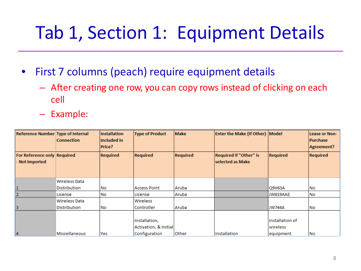### Tab 1, Section 1: Equipment Details

- First 7 columns (peach) require equipment details
	- After creating one row, you can copy rows instead of clicking on each cell
	- Example:

| Reference Number Type of Internal             | <b>Connection</b>    | <b>Installation</b><br>Included in<br><b>Price?</b> | <b>Type of Product</b>                 | <b>Make</b>     | <b>Enter the Make (If Other) Model</b>            |                              | Lease or Non-<br><b>Purchase</b><br>Agreement? |
|-----------------------------------------------|----------------------|-----------------------------------------------------|----------------------------------------|-----------------|---------------------------------------------------|------------------------------|------------------------------------------------|
| For Reference only Required<br>- Not Imported |                      | <b>Required</b>                                     | <b>Required</b>                        | <b>Required</b> | <b>Required if "Other" is</b><br>selected as Make | <b>Required</b>              | <b>Required</b>                                |
|                                               | Wireless Data        |                                                     |                                        |                 |                                                   |                              |                                                |
| 1                                             | Distribution         | No                                                  | <b>Access Point</b>                    | Aruba           |                                                   | Q9H63A                       | No                                             |
| $\overline{2}$                                | License              | No                                                  | License                                | Aruba           |                                                   | JW619AAE                     | No                                             |
|                                               | Wireless Data        |                                                     | Wireless                               |                 |                                                   |                              |                                                |
| 3                                             | Distribution         | No                                                  | Controller                             | Aruba           |                                                   | <b>JW744A</b>                | No                                             |
|                                               |                      |                                                     | Installation,<br>Activation, & Initial |                 |                                                   | Installation of<br>lwireless |                                                |
| 4                                             | <b>Miscellaneous</b> | Yes                                                 | Configuration                          | Other           | Installation                                      | equipment                    | INo.                                           |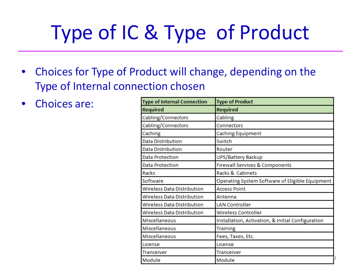## Type of IC & Type of Product

- Choices for Type of Product will change, depending on the Type of Internal connection chosen
- Choices are:

| <b>Type of Internal Connection</b> | <b>Type of Product</b>                            |
|------------------------------------|---------------------------------------------------|
| <b>Required</b>                    | Required                                          |
| Cabling/Connectors                 | Cabling                                           |
| Cabling/Connectors                 | Connectors                                        |
| Caching                            | <b>Caching Equipment</b>                          |
| <b>Data Distribution</b>           | Switch                                            |
| Data Distribution                  | Router                                            |
| <b>Data Protection</b>             | UPS/Battery Backup                                |
| <b>Data Protection</b>             | <b>Firewall Services &amp; Components</b>         |
| Racks                              | Racks & Cabinets                                  |
| Software                           | Operating System Software of Eligible Equipment   |
| <b>Wireless Data Distribution</b>  | <b>Access Point</b>                               |
| <b>Wireless Data Distribution</b>  | Antenna                                           |
| <b>Wireless Data Distribution</b>  | <b>LAN Controller</b>                             |
| <b>Wireless Data Distribution</b>  | <b>Wireless Controller</b>                        |
| Miscellaneous                      | Installation, Activation, & Initial Configuration |
| Miscellaneous                      | <b>Training</b>                                   |
| <b>Miscellaneous</b>               | Fees, Taxes, Etc.                                 |
| License                            | License                                           |
| <b>Tranceiver</b>                  | <b>Tranceiver</b>                                 |
| Module                             | Module                                            |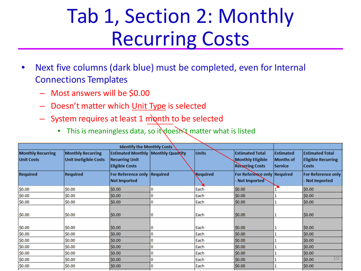### Tab 1, Section 2: Monthly Recurring Costs

- Next five columns (dark blue) must be completed, even for Internal Connections Templates
	- Most answers will be \$0.00
	- Doesn't matter which Unit Type is selected
	- $-$  System requires at least 1 month to be selected
		- This is meaningless data, so it doesn't matter what is listed

| <b>Estimated Total</b><br><b>Estimated</b><br><b>Estimated Total</b>                                                   |
|------------------------------------------------------------------------------------------------------------------------|
| Monthly Eligible<br>Months of<br><b>Eligible Recurring</b><br><b>Recurring Costs</b><br><b>Service</b><br><b>Costs</b> |
| For Reference only Required<br><b>For Reference only</b><br>Not Imported<br>Not Imported                               |
| \$0.00                                                                                                                 |
| \$0.00                                                                                                                 |
| \$0.00                                                                                                                 |
| \$0.00                                                                                                                 |
| \$0.00                                                                                                                 |
| \$0.00                                                                                                                 |
| \$0.00                                                                                                                 |
| \$0.00                                                                                                                 |
| \$0.00                                                                                                                 |
| 10<br>\$0.00                                                                                                           |
| \$0.00                                                                                                                 |
|                                                                                                                        |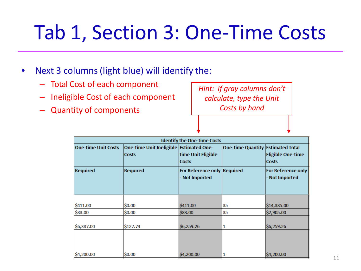### Tab 1, Section 3: One-Time Costs

- Next 3 columns (light blue) will identify the:
	- Total Cost of each component
	- Ineligible Cost of each component
	- Quantity of components

*Hint: If gray columns don't calculate, type the Unit Costs by hand*

|                            | <b>Identify the One-time Costs</b>                      |                                               |                                   |                                             |  |  |  |
|----------------------------|---------------------------------------------------------|-----------------------------------------------|-----------------------------------|---------------------------------------------|--|--|--|
| <b>One-time Unit Costs</b> | One-time Unit Ineligible Estimated One-<br><b>Costs</b> |                                               | One-time Quantity Estimated Total |                                             |  |  |  |
|                            |                                                         | time Unit Eligible<br><b>Costs</b>            |                                   | <b>Eligible One-time</b><br><b>Costs</b>    |  |  |  |
| <b>Required</b>            | <b>Required</b>                                         | For Reference only Required<br>- Not Imported |                                   | <b>For Reference only</b><br>- Not Imported |  |  |  |
| \$411.00                   | \$0.00                                                  | \$411.00                                      | 35                                | \$14,385.00                                 |  |  |  |
| \$83.00                    | \$0.00                                                  | \$83.00                                       | 35                                | \$2,905.00                                  |  |  |  |
| \$6,387.00                 | \$127.74                                                | \$6,259.26                                    | 1                                 | \$6,259.26                                  |  |  |  |
| \$4,200.00                 | \$0.00                                                  | \$4,200.00                                    |                                   | \$4,200.00                                  |  |  |  |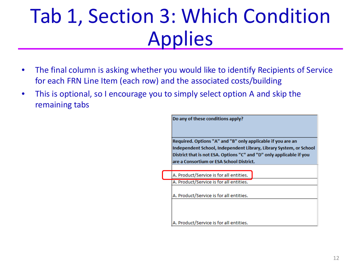### Tab 1, Section 3: Which Condition Applies

- The final column is asking whether you would like to identify Recipients of Service for each FRN Line Item (each row) and the associated costs/building
- This is optional, so I encourage you to simply select option A and skip the remaining tabs

| Do any of these conditions apply?                                                                                                                                                                         |
|-----------------------------------------------------------------------------------------------------------------------------------------------------------------------------------------------------------|
| Required. Options "A" and "B" only applicable if you are an<br>Independent School, Independent Library, Library System, or School<br>District that is not ESA. Options "C" and "D" only applicable if you |
| are a Consortium or ESA School District.                                                                                                                                                                  |
| A. Product/Service is for all entities.                                                                                                                                                                   |
| A. Product/Service is for all entities.                                                                                                                                                                   |
| A. Product/Service is for all entities.                                                                                                                                                                   |
| A. Product/Service is for all entities.                                                                                                                                                                   |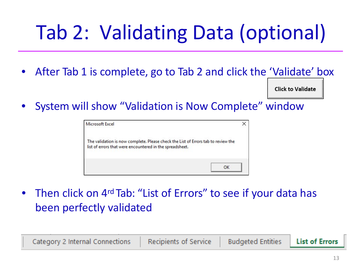## Tab 2: Validating Data (optional)

• After Tab 1 is complete, go to Tab 2 and click the 'Validate' box

**Click to Validate** 

• System will show "Validation is Now Complete" window

| Microsoft Excel                                                                                                                               |    |
|-----------------------------------------------------------------------------------------------------------------------------------------------|----|
| The validation is now complete. Please check the List of Errors tab to review the<br>list of errors that were encountered in the spreadsheet. |    |
|                                                                                                                                               | OK |

• Then click on 4<sup>rd</sup> Tab: "List of Errors" to see if your data has been perfectly validated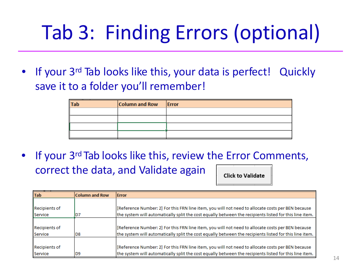## Tab 3: Finding Errors (optional)

If your 3<sup>rd</sup> Tab looks like this, your data is perfect! Quickly save it to a folder you'll remember!

| <b>Tab</b> | Column and Row | Error |
|------------|----------------|-------|
|            |                |       |
|            |                |       |
|            |                |       |
|            |                |       |

If your 3<sup>rd</sup> Tab looks like this, review the Error Comments, correct the data, and Validate again **Click to Validate** 

| <b>Tab</b>           | <b>Column and Row</b> | <b>IError</b>                                                                                          |
|----------------------|-----------------------|--------------------------------------------------------------------------------------------------------|
|                      |                       |                                                                                                        |
| <b>Recipients of</b> |                       | [Reference Number: 2] For this FRN line item, you will not need to allocate costs per BEN because      |
| Service              |                       | the system will automatically split the cost equally between the recipients listed for this line item. |
|                      |                       |                                                                                                        |
| <b>Recipients of</b> |                       | [Reference Number: 2] For this FRN line item, you will not need to allocate costs per BEN because      |
| Service              | D8                    | the system will automatically split the cost equally between the recipients listed for this line item. |
|                      |                       |                                                                                                        |
| <b>Recipients of</b> |                       | [Reference Number: 2] For this FRN line item, you will not need to allocate costs per BEN because      |
| Service              | D9                    | the system will automatically split the cost equally between the recipients listed for this line item. |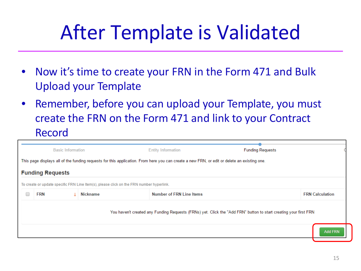### After Template is Validated

- Now it's time to create your FRN in the Form 471 and Bulk Upload your Template
- Remember, before you can upload your Template, you must create the FRN on the Form 471 and link to your Contract Record

|                                                                                                                                             | <b>Basic Information</b>                                                                                         |                                                                                          | <b>Entity Information</b>       | <b>Funding Requests</b> |                        |  |
|---------------------------------------------------------------------------------------------------------------------------------------------|------------------------------------------------------------------------------------------------------------------|------------------------------------------------------------------------------------------|---------------------------------|-------------------------|------------------------|--|
| This page displays all of the funding requests for this application. From here you can create a new FRN, or edit or delete an existing one. |                                                                                                                  |                                                                                          |                                 |                         |                        |  |
|                                                                                                                                             | <b>Funding Requests</b>                                                                                          |                                                                                          |                                 |                         |                        |  |
|                                                                                                                                             |                                                                                                                  | To create or update specific FRN Line Item(s), please click on the FRN number hyperlink. |                                 |                         |                        |  |
|                                                                                                                                             | <b>FRN</b>                                                                                                       | Nickname                                                                                 | <b>Number of FRN Line Items</b> |                         | <b>FRN</b> Calculation |  |
|                                                                                                                                             | You haven't created any Funding Requests (FRNs) yet. Click the "Add FRN" button to start creating your first FRN |                                                                                          |                                 |                         |                        |  |
|                                                                                                                                             |                                                                                                                  |                                                                                          |                                 | <b>Add FRN</b>          |                        |  |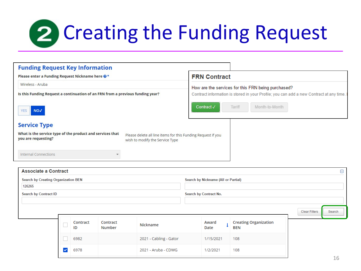## Creating the Funding Request

| <b>Funding Request Key Information</b>                                                                                                                                              |                                                                                                                                               |  |  |
|-------------------------------------------------------------------------------------------------------------------------------------------------------------------------------------|-----------------------------------------------------------------------------------------------------------------------------------------------|--|--|
| Please enter a Funding Request Nickname here @*                                                                                                                                     | <b>FRN Contract</b>                                                                                                                           |  |  |
| Wireless - Aruba                                                                                                                                                                    | How are the services for this FRN being purchased?<br>Contract information is stored in your Profile; you can add a new Contract at any time. |  |  |
| Is this Funding Request a continuation of an FRN from a previous funding year?                                                                                                      |                                                                                                                                               |  |  |
| NO√<br><b>YES</b>                                                                                                                                                                   | Contract√<br>Tariff<br>Month-to-Month                                                                                                         |  |  |
| <b>Service Type</b>                                                                                                                                                                 |                                                                                                                                               |  |  |
| What is the service type of the product and services that<br>Please delete all line items for this Funding Request if you<br>you are requesting?<br>wish to modify the Service Type |                                                                                                                                               |  |  |
| <b>Internal Connections</b>                                                                                                                                                         |                                                                                                                                               |  |  |

| <b>Associate a Contract</b> |                                            |                |                    |                        |                                     |               |  |                                            |  |                      | Θ              |
|-----------------------------|--------------------------------------------|----------------|--------------------|------------------------|-------------------------------------|---------------|--|--------------------------------------------|--|----------------------|----------------|
|                             | <b>Search by Creating Organization BEN</b> |                |                    |                        | Search by Nickname (All or Partial) |               |  |                                            |  |                      |                |
| 126265                      |                                            |                |                    |                        |                                     |               |  |                                            |  |                      |                |
|                             | <b>Search by Contract ID</b>               |                |                    |                        | Search by Contract No.              |               |  |                                            |  |                      |                |
|                             |                                            |                |                    |                        |                                     |               |  |                                            |  |                      |                |
|                             |                                            |                |                    |                        |                                     |               |  |                                            |  | <b>Clear Filters</b> | Search         |
|                             |                                            | Contract<br>ID | Contract<br>Number | Nickname               |                                     | Award<br>Date |  | <b>Creating Organization</b><br><b>BEN</b> |  |                      |                |
|                             |                                            | 6982           |                    | 2021 - Cabling - Gator |                                     | 1/15/2021     |  | 108                                        |  |                      |                |
|                             | $\checkmark$                               | 6978           |                    | 2021 - Aruba - CDWG    |                                     | 1/2/2021      |  | 108                                        |  |                      | 1 <sub>6</sub> |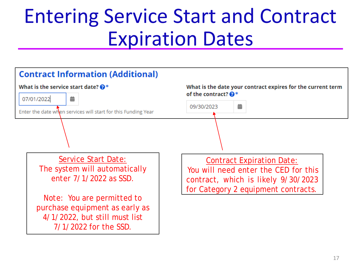### Entering Service Start and Contract Expiration Dates

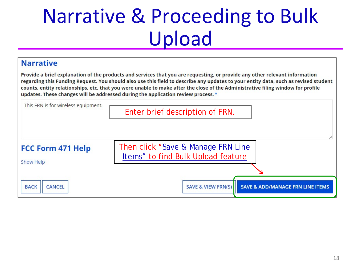### Narrative & Proceeding to Bulk Upload

### **Narrative**

Provide a brief explanation of the products and services that you are requesting, or provide any other relevant information regarding this Funding Request. You should also use this field to describe any updates to your entity data, such as revised student counts, entity relationships, etc, that you were unable to make after the close of the Administrative filing window for profile updates. These changes will be addressed during the application review process. \*

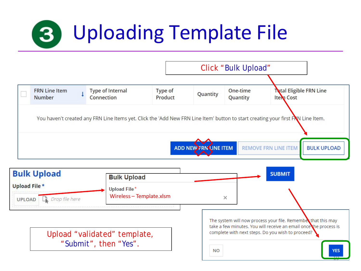### Uploading Template File  $\vert 3 \vert$

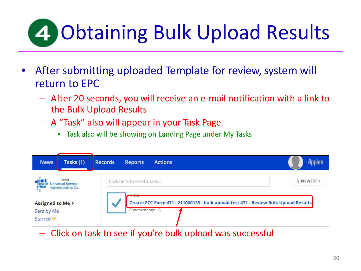# **4 Obtaining Bulk Upload Results**

- After submitting uploaded Template for review, system will return to EPC
	- After 20 seconds, you will receive an e-mail notification with a link to the Bulk Upload Results
	- A "Task" also will appear in your Task Page
		- Task also will be showing on Landing Page under My Tasks

| <b>News</b>                                 | Tasks (1)                                                  | Records<br><b>Actions</b><br><b>Reports</b>                                                                             | Appian     |
|---------------------------------------------|------------------------------------------------------------|-------------------------------------------------------------------------------------------------------------------------|------------|
| 42                                          | Training<br><b>Jniversal Service</b><br>Administrative Co. | Click here to send a task<br>A A A                                                                                      | L NEWEST - |
| Assigned to Me ><br>Sent by Me<br>Starred ☆ |                                                            | <b>TEXASE</b><br>Create FCC Form 471 - 211000133 - bulk upload test 471 - Review Bulk Upload Results<br>A moment ago 12 |            |

– Click on task to see if you're bulk upload was successful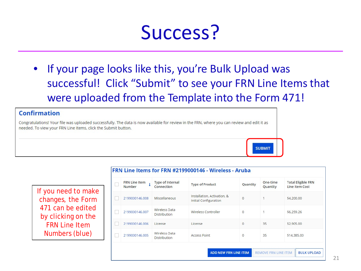### Success?

• If your page looks like this, you're Bulk Upload was successful! Click "Submit" to see your FRN Line Items that were uploaded from the Template into the Form 471!

#### Confirmation

Congratulations! Your file was uploaded successfully. The data is now available for review in the FRN, where you can review and edit it as needed. To view your FRN Line Items, click the Submit button.

If you need to make changes, the Form 471 can be edited by clicking on the FRN Line Item Numbers (blue)

| <b>FRN Line Item</b><br>Number | <b>Type of Internal</b><br>Connection       | <b>Type of Product</b>                                      | Quantity       | One-time<br>Quantity | <b>Total Eligible FRN</b><br><b>Line Item Cost</b> |
|--------------------------------|---------------------------------------------|-------------------------------------------------------------|----------------|----------------------|----------------------------------------------------|
| 2199000146.008                 | <b>Miscellaneous</b>                        | Installation, Activation, &<br><b>Initial Configuration</b> | $\mathbf{0}$   |                      | \$4,200.00                                         |
| 2199000146.007                 | Wireless Data<br><b>Distribution</b>        | <b>Wireless Controller</b>                                  | $\overline{0}$ |                      | \$6,259.26                                         |
| 2199000146.006                 | License                                     | License                                                     | 0              | 35                   | \$2,905.00                                         |
| 2199000146.005                 | <b>Wireless Data</b><br><b>Distribution</b> | <b>Access Point</b>                                         | $\mathbf{0}$   | 35                   | \$14,385.00                                        |

#### FRN Line Items for FRN #2199000146 - Wireless - Aruba

**SUBMIT** 

**BULK UPLOAD**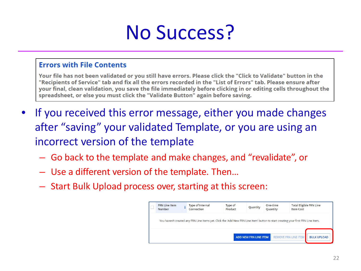### No Success?

### **Errors with File Contents**

Your file has not been validated or you still have errors. Please click the "Click to Validate" button in the "Recipients of Service" tab and fix all the errors recorded in the "List of Errors" tab. Please ensure after your final, clean validation, you save the file immediately before clicking in or editing cells throughout the spreadsheet, or else you must click the "Validate Button" again before saving.

- If you received this error message, either you made changes after "saving" your validated Template, or you are using an incorrect version of the template
	- Go back to the template and make changes, and "revalidate", or
	- Use a different version of the template. Then…
	- Start Bulk Upload process over, starting at this screen:

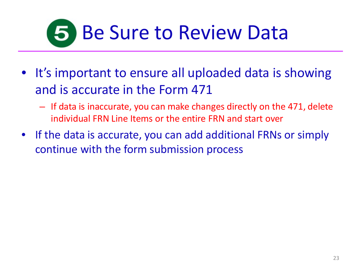# **5 Be Sure to Review Data**

- It's important to ensure all uploaded data is showing and is accurate in the Form 471
	- If data is inaccurate, you can make changes directly on the 471, delete individual FRN Line Items or the entire FRN and start over
- If the data is accurate, you can add additional FRNs or simply continue with the form submission process